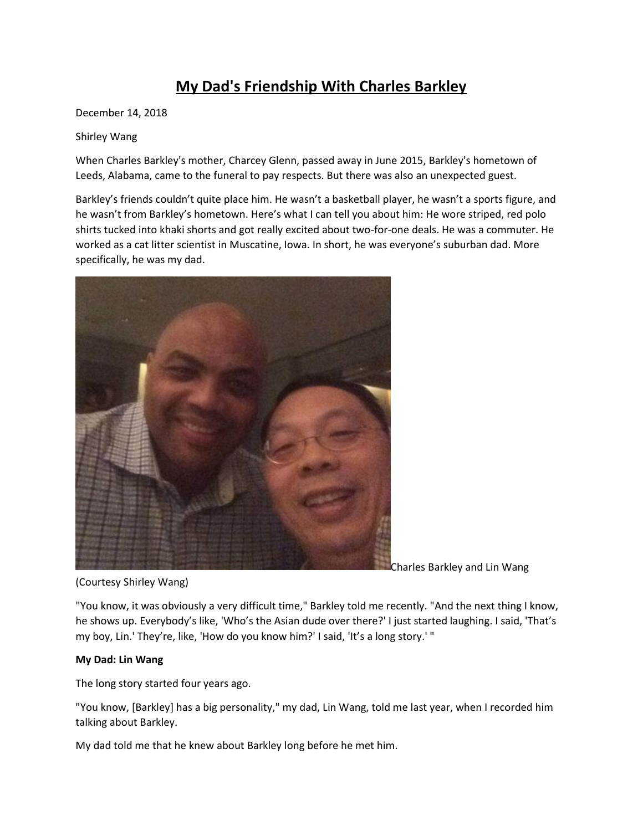# **My Dad's Friendship With Charles Barkley**

December 14, 2018

## Shirley Wang

When Charles Barkley's mother, Charcey Glenn, passed away in June 2015, Barkley's hometown of Leeds, Alabama, came to the funeral to pay respects. But there was also an unexpected guest.

Barkley's friends couldn't quite place him. He wasn't a basketball player, he wasn't a sports figure, and he wasn't from Barkley's hometown. Here's what I can tell you about him: He wore striped, red polo shirts tucked into khaki shorts and got really excited about two-for-one deals. He was a commuter. He worked as a cat litter scientist in Muscatine, Iowa. In short, he was everyone's suburban dad. More specifically, he was my dad.



Charles Barkley and Lin Wang

(Courtesy Shirley Wang)

"You know, it was obviously a very difficult time," Barkley told me recently. "And the next thing I know, he shows up. Everybody's like, 'Who's the Asian dude over there?' I just started laughing. I said, 'That's my boy, Lin.' They're, like, 'How do you know him?' I said, 'It's a long story.' "

## **My Dad: Lin Wang**

The long story started four years ago.

"You know, [Barkley] has a big personality," my dad, Lin Wang, told me last year, when I recorded him talking about Barkley.

My dad told me that he knew about Barkley long before he met him.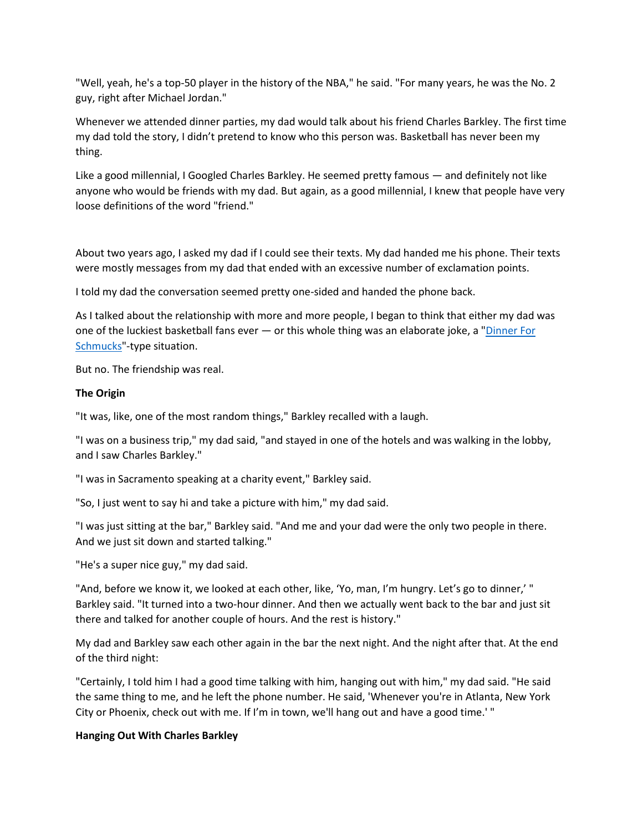"Well, yeah, he's a top-50 player in the history of the NBA," he said. "For many years, he was the No. 2 guy, right after Michael Jordan."

Whenever we attended dinner parties, my dad would talk about his friend Charles Barkley. The first time my dad told the story, I didn't pretend to know who this person was. Basketball has never been my thing.

Like a good millennial, I Googled Charles Barkley. He seemed pretty famous — and definitely not like anyone who would be friends with my dad. But again, as a good millennial, I knew that people have very loose definitions of the word "friend."

About two years ago, I asked my dad if I could see their texts. My dad handed me his phone. Their texts were mostly messages from my dad that ended with an excessive number of exclamation points.

I told my dad the conversation seemed pretty one-sided and handed the phone back.

As I talked about the relationship with more and more people, I began to think that either my dad was one of the luckiest basketball fans ever — or this whole thing was an elaborate joke, a ["Dinner For](https://www.imdb.com/title/tt0427152/)  [Schmucks"](https://www.imdb.com/title/tt0427152/)-type situation.

But no. The friendship was real.

## **The Origin**

"It was, like, one of the most random things," Barkley recalled with a laugh.

"I was on a business trip," my dad said, "and stayed in one of the hotels and was walking in the lobby, and I saw Charles Barkley."

"I was in Sacramento speaking at a charity event," Barkley said.

"So, I just went to say hi and take a picture with him," my dad said.

"I was just sitting at the bar," Barkley said. "And me and your dad were the only two people in there. And we just sit down and started talking."

"He's a super nice guy," my dad said.

"And, before we know it, we looked at each other, like, 'Yo, man, I'm hungry. Let's go to dinner,' " Barkley said. "It turned into a two-hour dinner. And then we actually went back to the bar and just sit there and talked for another couple of hours. And the rest is history."

My dad and Barkley saw each other again in the bar the next night. And the night after that. At the end of the third night:

"Certainly, I told him I had a good time talking with him, hanging out with him," my dad said. "He said the same thing to me, and he left the phone number. He said, 'Whenever you're in Atlanta, New York City or Phoenix, check out with me. If I'm in town, we'll hang out and have a good time.' "

## **Hanging Out With Charles Barkley**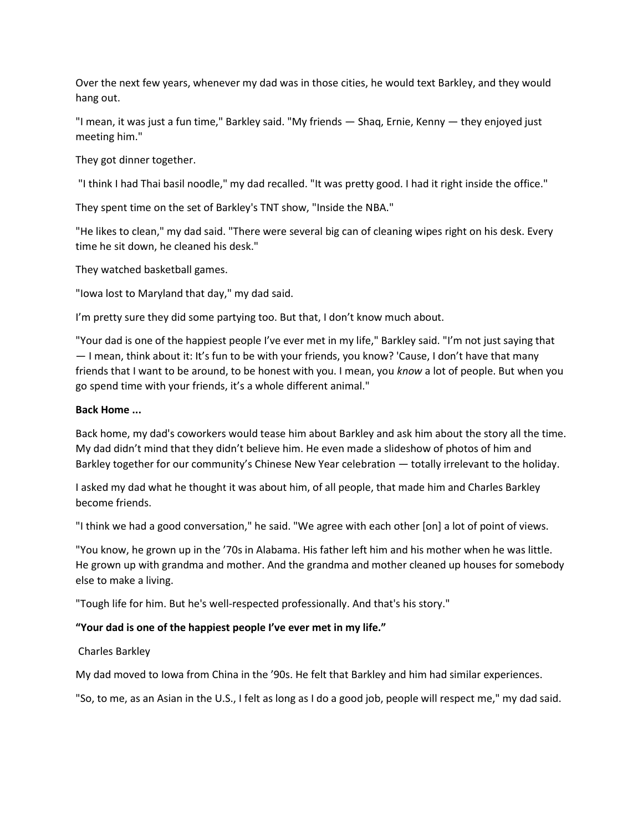Over the next few years, whenever my dad was in those cities, he would text Barkley, and they would hang out.

"I mean, it was just a fun time," Barkley said. "My friends — Shaq, Ernie, Kenny — they enjoyed just meeting him."

They got dinner together.

"I think I had Thai basil noodle," my dad recalled. "It was pretty good. I had it right inside the office."

They spent time on the set of Barkley's TNT show, "Inside the NBA."

"He likes to clean," my dad said. "There were several big can of cleaning wipes right on his desk. Every time he sit down, he cleaned his desk."

They watched basketball games.

"Iowa lost to Maryland that day," my dad said.

I'm pretty sure they did some partying too. But that, I don't know much about.

"Your dad is one of the happiest people I've ever met in my life," Barkley said. "I'm not just saying that — I mean, think about it: It's fun to be with your friends, you know? 'Cause, I don't have that many friends that I want to be around, to be honest with you. I mean, you *know* a lot of people. But when you go spend time with your friends, it's a whole different animal."

## **Back Home ...**

Back home, my dad's coworkers would tease him about Barkley and ask him about the story all the time. My dad didn't mind that they didn't believe him. He even made a slideshow of photos of him and Barkley together for our community's Chinese New Year celebration — totally irrelevant to the holiday.

I asked my dad what he thought it was about him, of all people, that made him and Charles Barkley become friends.

"I think we had a good conversation," he said. "We agree with each other [on] a lot of point of views.

"You know, he grown up in the '70s in Alabama. His father left him and his mother when he was little. He grown up with grandma and mother. And the grandma and mother cleaned up houses for somebody else to make a living.

"Tough life for him. But he's well-respected professionally. And that's his story."

## **"Your dad is one of the happiest people I've ever met in my life."**

## Charles Barkley

My dad moved to Iowa from China in the '90s. He felt that Barkley and him had similar experiences.

"So, to me, as an Asian in the U.S., I felt as long as I do a good job, people will respect me," my dad said.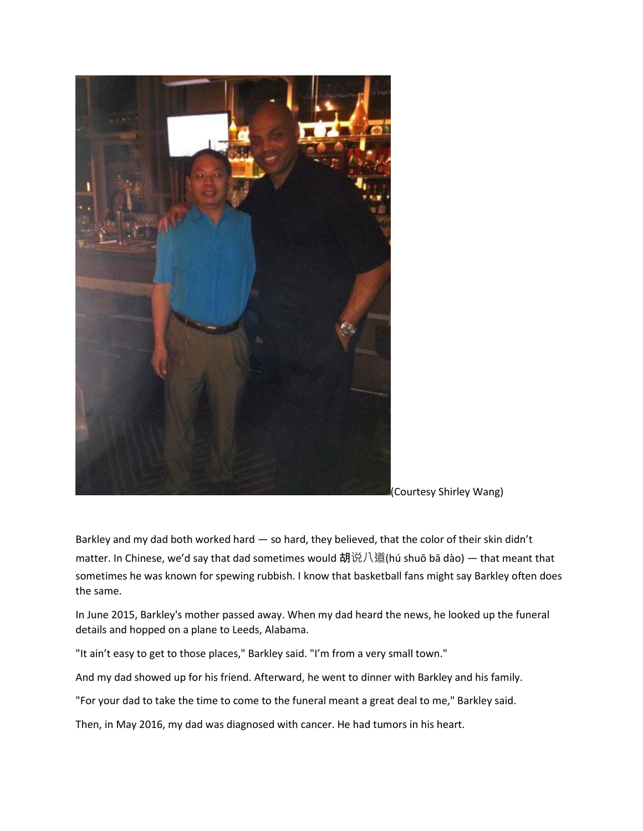

<sup>(</sup>Courtesy Shirley Wang)

Barkley and my dad both worked hard — so hard, they believed, that the color of their skin didn't matter. In Chinese, we'd say that dad sometimes would 胡说八道(hú shuō bā dào) — that meant that sometimes he was known for spewing rubbish. I know that basketball fans might say Barkley often does the same.

In June 2015, Barkley's mother passed away. When my dad heard the news, he looked up the funeral details and hopped on a plane to Leeds, Alabama.

"It ain't easy to get to those places," Barkley said. "I'm from a very small town."

And my dad showed up for his friend. Afterward, he went to dinner with Barkley and his family.

"For your dad to take the time to come to the funeral meant a great deal to me," Barkley said.

Then, in May 2016, my dad was diagnosed with cancer. He had tumors in his heart.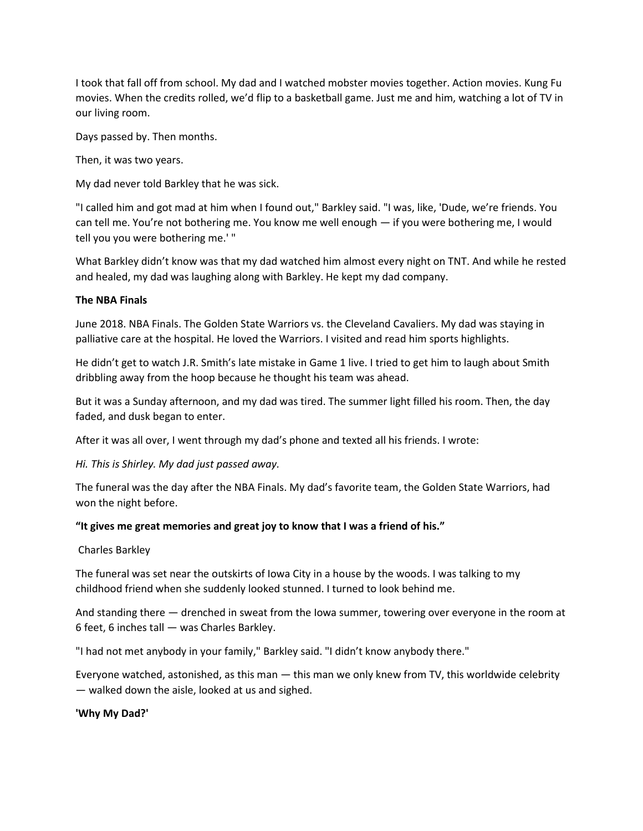I took that fall off from school. My dad and I watched mobster movies together. Action movies. Kung Fu movies. When the credits rolled, we'd flip to a basketball game. Just me and him, watching a lot of TV in our living room.

Days passed by. Then months.

Then, it was two years.

My dad never told Barkley that he was sick.

"I called him and got mad at him when I found out," Barkley said. "I was, like, 'Dude, we're friends. You can tell me. You're not bothering me. You know me well enough — if you were bothering me, I would tell you you were bothering me.' "

What Barkley didn't know was that my dad watched him almost every night on TNT. And while he rested and healed, my dad was laughing along with Barkley. He kept my dad company.

#### **The NBA Finals**

June 2018. NBA Finals. The Golden State Warriors vs. the Cleveland Cavaliers. My dad was staying in palliative care at the hospital. He loved the Warriors. I visited and read him sports highlights.

He didn't get to watch J.R. Smith's late mistake in Game 1 live. I tried to get him to laugh about Smith dribbling away from the hoop because he thought his team was ahead.

But it was a Sunday afternoon, and my dad was tired. The summer light filled his room. Then, the day faded, and dusk began to enter.

After it was all over, I went through my dad's phone and texted all his friends. I wrote:

*Hi. This is Shirley. My dad just passed away.*

The funeral was the day after the NBA Finals. My dad's favorite team, the Golden State Warriors, had won the night before.

#### **"It gives me great memories and great joy to know that I was a friend of his."**

#### Charles Barkley

The funeral was set near the outskirts of Iowa City in a house by the woods. I was talking to my childhood friend when she suddenly looked stunned. I turned to look behind me.

And standing there — drenched in sweat from the Iowa summer, towering over everyone in the room at 6 feet, 6 inches tall — was Charles Barkley.

"I had not met anybody in your family," Barkley said. "I didn't know anybody there."

Everyone watched, astonished, as this man — this man we only knew from TV, this worldwide celebrity — walked down the aisle, looked at us and sighed.

#### **'Why My Dad?'**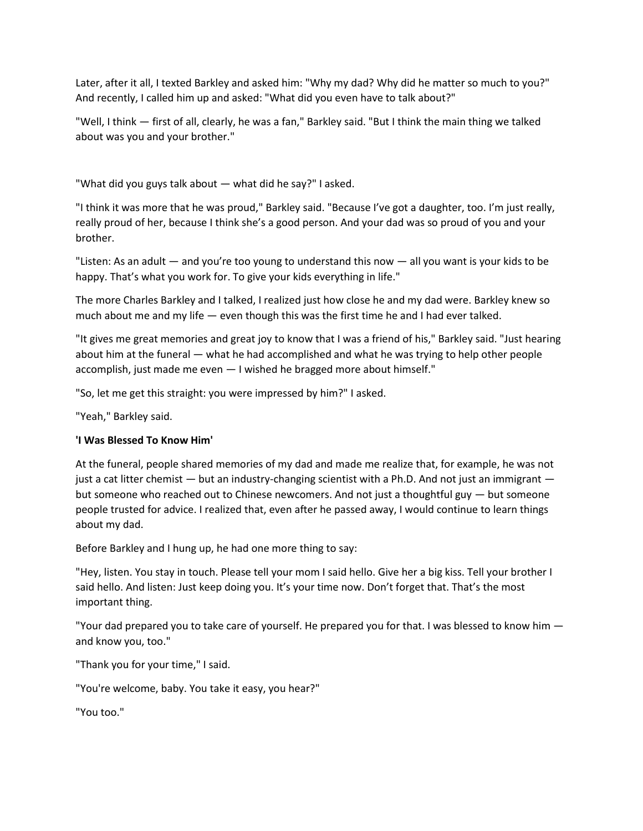Later, after it all, I texted Barkley and asked him: "Why my dad? Why did he matter so much to you?" And recently, I called him up and asked: "What did you even have to talk about?"

"Well, I think — first of all, clearly, he was a fan," Barkley said. "But I think the main thing we talked about was you and your brother."

"What did you guys talk about — what did he say?" I asked.

"I think it was more that he was proud," Barkley said. "Because I've got a daughter, too. I'm just really, really proud of her, because I think she's a good person. And your dad was so proud of you and your brother.

"Listen: As an adult  $-$  and you're too young to understand this now  $-$  all you want is your kids to be happy. That's what you work for. To give your kids everything in life."

The more Charles Barkley and I talked, I realized just how close he and my dad were. Barkley knew so much about me and my life — even though this was the first time he and I had ever talked.

"It gives me great memories and great joy to know that I was a friend of his," Barkley said. "Just hearing about him at the funeral — what he had accomplished and what he was trying to help other people accomplish, just made me even — I wished he bragged more about himself."

"So, let me get this straight: you were impressed by him?" I asked.

"Yeah," Barkley said.

## **'I Was Blessed To Know Him'**

At the funeral, people shared memories of my dad and made me realize that, for example, he was not just a cat litter chemist — but an industry-changing scientist with a Ph.D. And not just an immigrant but someone who reached out to Chinese newcomers. And not just a thoughtful guy — but someone people trusted for advice. I realized that, even after he passed away, I would continue to learn things about my dad.

Before Barkley and I hung up, he had one more thing to say:

"Hey, listen. You stay in touch. Please tell your mom I said hello. Give her a big kiss. Tell your brother I said hello. And listen: Just keep doing you. It's your time now. Don't forget that. That's the most important thing.

"Your dad prepared you to take care of yourself. He prepared you for that. I was blessed to know him and know you, too."

"Thank you for your time," I said.

"You're welcome, baby. You take it easy, you hear?"

"You too."